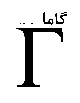## 65

شماره ی ِ ۸، پاییز ِ ۱۳۸۴

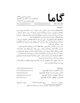| شماره ی ِ ۸، پاییز ِ ۱۳۸۴<br>صاحب امتیاز و مدیر به مسئول: امیر به آقامحمّدی |                          | $\overline{a}$ |                |
|-----------------------------------------------------------------------------|--------------------------|----------------|----------------|
| تهران، صندوق - پستی ۱۹۹۳۵/۲۳۳                                               |                          |                |                |
| www.gammajournal.com                                                        | editors@gammajournal.com |                | ISSN 1735.1286 |

 $\frac{1}{2}$ 

● کاما فصلنامه ای است به زبان \_ فارسی، در باره ی\_ فیزیک. ان چه در کاما منتشر میشود بیشتر -) 1 2 3 <sup>8</sup> : )- -) #1 2 <sup>3</sup> ; - & <" <sup>=</sup> 3 . " -) # \* =. > ? ایران است، و قرار است جنبه ی ِ اموزشی و فرهنگی داشته باشد و برای دانشجویان ِ فیزیک یا دانش اموخته کان ِ ِ فیزیک ، یا دستِ کم بخش ی از انها قابلِاستفاده باشد. • مقالههای کاما نوعا تالیقی اند. سعی بر این است که فقط مقالهها ی ِ کلاسیک ِ فیریک، و توسيعها بي حيريات بيساما بي براز ب ترجمه سود. اثنر مي حواميد جير ابي را ترجمه انتيد، تنظف اون ب 0 A( Q-& \$-5 6= ● برا ی\_ تماس با کاما، و از جمله فرستادن \_ مقاله، لطفا با یک ی از ویراستاران \_ کاما تماس بگیرید.

● پذیرش \_ مقاله با هیئت \_ ویراستاران و بر اساس \_ روش \_ متداول \_ داوری توسط \_ داور \_ ناشناس است. سیست دادی سیست و در این مسیح از در این سیست است می در این موسیق این مسیح است و است و است و است و است و است و ا 065 V=W4"7 )G ( X& J -N #\*( YZ .>? -) X& - ) [7 .( ,  0"F-7 ● مقالهی پدیرفته شده، پیش از چاپ، بر اساس ِ ِ اخرین نسخه ای که نویسنده فرستاده حروفچینی مے سود و پس از تایپد ِ تویسدماه است ب یب پ مے سود .

— © تـمـام \_ حـقـوق \_ مـادّى و مـعنوى ى\_ آن چه در گـامـا منتـشر مـىشود متعـلـق است بـه گـامـا، مـگـر در 0\*( 4\* \_D + M .F )-

| editors@gammajournal.com  | ويراستاران :                                       |
|---------------------------|----------------------------------------------------|
| mohamadi@gammajournal.com | • امیر ِ آقامحمّدی، دانش5اه ِ الزّهرا، تهران       |
| shariati@mailaps.org      | • احمد ِ شریعتی (سردبیر)، دانشگاه ِ الزّهرا، تهران |
| ashafie@gammajournal.com  | • عزیزاله _ شفیعخانیي، دانشگاه _ الزّهرا، تهران    |
| fatho@mail.cern.ch        | • امیرحسین ِ فتحاللهی، دانشگاه ِ الزّهرا، تهران    |

- تاریخ \_ انتشار ۱۳۸۴/۹/۱۵ شمارگان: ۱۰۰۰ نسخه <sup>1</sup> تاریخ ليتوگرافي جاب و صحافي: سازمان جاب و انتشارات و زارت فرهنگ و ارشاد اسلامي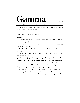

no. 8, Fall 2005

ISSN 1735.1286 www.gammajournal.com editors@gammajournal.com

Gamma is a quarterly Persian magazine, devoted to educational and cultural articles in physics. Gamma is not a research journal.

Address: Gamma, P. O. Box 633, Tehran 19935, IRAN.

 $\circ$  2004 - 2005, Gamma, all rights reserved

## Editors

• A. Aghamohammadi Prof. of Physics, Alzahra University, Tehran 19938-91167,

Iran. mohamadi@gammajournal.com

• A. H. Fatollahi Asoc. Prof. of Physics, Alzahra University, Tehran 19938-91167, Iran. fatho@mail.cern.ch

• A. Shafikhani Asoc. Prof. of Physics, Alzahra University, Tehran 19938-91167, Iran. ashafie@gammajournal.com

• A. Shariati Asoc. Prof. of Physics, Alzahra University, Tehran 19938-91167, Iran. shariati@mailaps.org

اشتراک (چهار شماره) عادّي ٥٥٥٥ تومان، دانشجوييي ٣٥٥٥ تومان، مؤسسهها ٥٥٥٠ تومان. اشتراک با پُست ِ عادّی است. برا ی ِ اشتراک با پُست ِ سفارشی، یا خارج از ایران، با یک ی از ویراستاران تماس بگیرید.

برا ی ِ اشتراک، پول ِ اشتراک را به حساب ِ شماره ی ِ ۲۳۷۹ ه ۸۰ بانک ِ ملّی، شعبه ی ِ دانش گاه \_ الّزهرا (کد \_ ٢٢١) به نام \_ احمد شریعتی، بریزید. اصل \_ رسید \_ بانک را پیش \_ خود نگه دارید، و این اطلاعات ِ را برای ی ِ ما بفرستید: ١) اسم ِ واریزکننده، ٢) اسم و کد ِ شعبه ای که پول در آن واریز شده است، ۳) تاریخ ِ واریز کردن، ۴) شماره ی ِ رسید، ۵) عدد ِ دقیق ِ پول ی که واریز شده است، ٦) اسم و نشانبي ي ِ كامل ِ گيرنده ي ِ مجله.